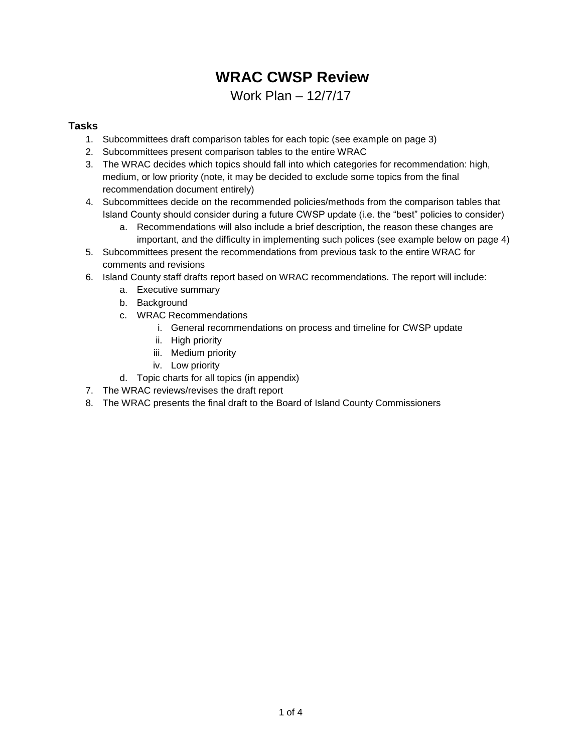# **WRAC CWSP Review**

Work Plan – 12/7/17

### **Tasks**

- 1. Subcommittees draft comparison tables for each topic (see example on page 3)
- 2. Subcommittees present comparison tables to the entire WRAC
- 3. The WRAC decides which topics should fall into which categories for recommendation: high, medium, or low priority (note, it may be decided to exclude some topics from the final recommendation document entirely)
- 4. Subcommittees decide on the recommended policies/methods from the comparison tables that Island County should consider during a future CWSP update (i.e. the "best" policies to consider)
	- a. Recommendations will also include a brief description, the reason these changes are important, and the difficulty in implementing such polices (see example below on page 4)
- 5. Subcommittees present the recommendations from previous task to the entire WRAC for comments and revisions
- 6. Island County staff drafts report based on WRAC recommendations. The report will include:
	- a. Executive summary
	- b. Background
	- c. WRAC Recommendations
		- i. General recommendations on process and timeline for CWSP update
		- ii. High priority
		- iii. Medium priority
		- iv. Low priority
	- d. Topic charts for all topics (in appendix)
- 7. The WRAC reviews/revises the draft report
- 8. The WRAC presents the final draft to the Board of Island County Commissioners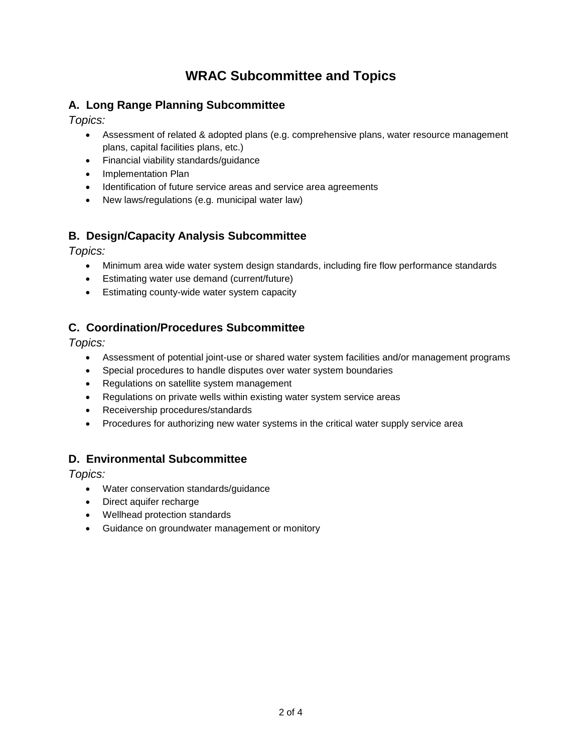## **WRAC Subcommittee and Topics**

## **A. Long Range Planning Subcommittee**

*Topics:*

- Assessment of related & adopted plans (e.g. comprehensive plans, water resource management plans, capital facilities plans, etc.)
- Financial viability standards/guidance
- Implementation Plan
- Identification of future service areas and service area agreements
- New laws/regulations (e.g. municipal water law)

## **B. Design/Capacity Analysis Subcommittee**

*Topics:*

- Minimum area wide water system design standards, including fire flow performance standards
- Estimating water use demand (current/future)
- **Estimating county-wide water system capacity**

## **C. Coordination/Procedures Subcommittee**

*Topics:*

- Assessment of potential joint-use or shared water system facilities and/or management programs
- Special procedures to handle disputes over water system boundaries
- Regulations on satellite system management
- Regulations on private wells within existing water system service areas
- Receivership procedures/standards
- Procedures for authorizing new water systems in the critical water supply service area

## **D. Environmental Subcommittee**

*Topics:*

- Water conservation standards/guidance
- Direct aquifer recharge
- Wellhead protection standards
- Guidance on groundwater management or monitory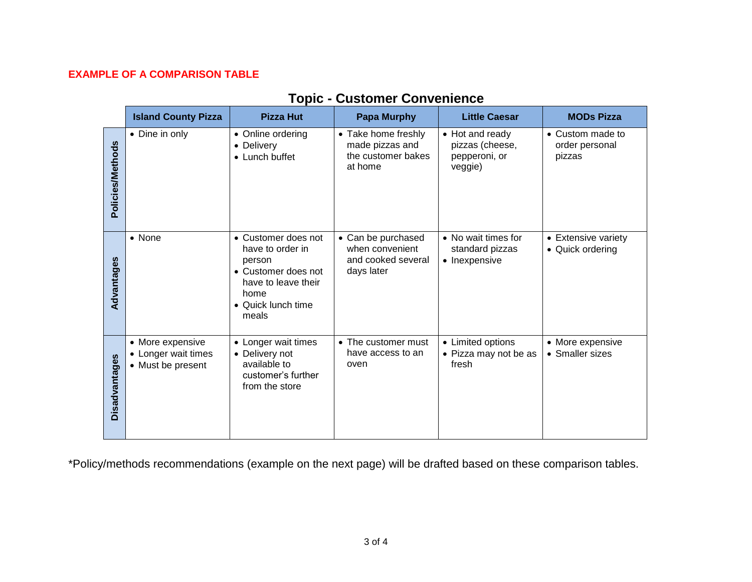### **EXAMPLE OF A COMPARISON TABLE**

|                         | <b>Island County Pizza</b>                                   | <b>Pizza Hut</b>                                                                                                                       | <b>Papa Murphy</b>                                                        | <b>Little Caesar</b>                                           | <b>MODs Pizza</b>                            |
|-------------------------|--------------------------------------------------------------|----------------------------------------------------------------------------------------------------------------------------------------|---------------------------------------------------------------------------|----------------------------------------------------------------|----------------------------------------------|
| <b>Policies/Methods</b> | • Dine in only                                               | • Online ordering<br>• Delivery<br>• Lunch buffet                                                                                      | • Take home freshly<br>made pizzas and<br>the customer bakes<br>at home   | • Hot and ready<br>pizzas (cheese,<br>pepperoni, or<br>veggie) | • Custom made to<br>order personal<br>pizzas |
| Advantages              | • None                                                       | • Customer does not<br>have to order in<br>person<br>• Customer does not<br>have to leave their<br>home<br>• Quick lunch time<br>meals | • Can be purchased<br>when convenient<br>and cooked several<br>days later | • No wait times for<br>standard pizzas<br>• Inexpensive        | • Extensive variety<br>• Quick ordering      |
| Disadvantages           | • More expensive<br>• Longer wait times<br>• Must be present | • Longer wait times<br>• Delivery not<br>available to<br>customer's further<br>from the store                                          | • The customer must<br>have access to an<br>oven                          | • Limited options<br>• Pizza may not be as<br>fresh            | • More expensive<br>• Smaller sizes          |

## **Topic - Customer Convenience**

\*Policy/methods recommendations (example on the next page) will be drafted based on these comparison tables.